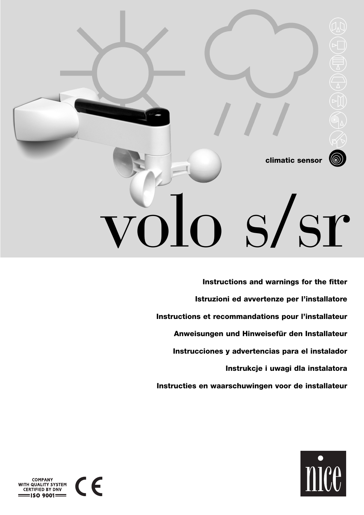**climatic sensor**

# volo s/sr

**Istruzioni ed avvertenze per l'installatore Instructions and warnings for the fitter Instructions et recommandations pour l'installateur Anweisungen und Hinweisefür den Installateur Instrucciones y advertencias para el instalador Instrukcje i uwagi dla instalatora Instructies en waarschuwingen voor de installateur**



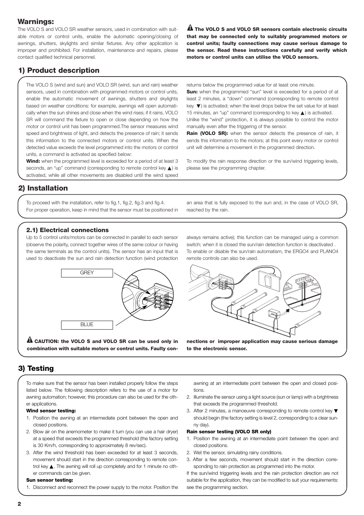## **Warnings:**

The VOLO S and VOLO SR weather sensors, used in combination with suitable motors or control units, enable the automatic opening/closing of awnings, shutters, skylights and similar fixtures. Any other application is improper and prohibited. For installation, maintenance and repairs, please contact qualified technical personnel.

**The VOLO S and VOLO SR sensors contain electronic circuits ! that may be connected only to suitably programmed motors or control units; faulty connections may cause serious damage to the sensor. Read these instructions carefully and verify which motors or control units can utilise the VOLO sensors.**

# **1) Product description**

The VOLO S (wind and sun) and VOLO SR (wind, sun and rain) weather sensors, used in combination with programmed motors or control units, enable the automatic movement of awnings, shutters and skylights based on weather conditions: for example, awnings will open automatically when the sun shines and close when the wind rises; if it rains, VOLO SR will command the fixture to open or close depending on how the motor or control unit has been programmed.The sensor measures wind speed and brightness of light, and detects the presence of rain; it sends this information to the connected motors or control units. When the detected value exceeds the level programmed into the motors or control units, a command is activated as specified below:

**Wind:** when the programmed level is exceeded for a period of at least 3 seconds, an "up" command (corresponding to remote control key  $\triangle$ ) is activated, while all other movements are disabled until the wind speed

returns below the programmed value for at least one minute. **Sun:** when the programmed "sun" level is exceeded for a period of at least 2 minutes, a "down" command (corresponding to remote control key ▼) is activated; when the level drops below the set value for at least 15 minutes, an "up" command (corresponding to key ▲) is activated. Unlike the "wind" protection, it is always possible to control the motor manually even after the triggering of the sensor.

**Rain (VOLO SR):** when the sensor detects the presence of rain, it sends this information to the motors; at this point every motor or control unit will determine a movement in the programmed direction.

To modify the rain response direction or the sun/wind triggering levels, please see the programming chapter.

## **2) Installation**

To proceed with the installation, refer to fig.1, fig.2, fig.3 and fig.4. For proper operation, keep in mind that the sensor must be positioned in

an area that is fully exposed to the sun and, in the case of VOLO SR, reached by the rain.

## **2.1) Electrical connections**

Up to 5 control units/motors can be connected in parallel to each sensor (observe the polarity, connect together wires of the same colour or having the same terminals as the control units). The sensor has an input that is used to deactivate the sun and rain detection function (wind protection



**CAUTION: the VOLO S and VOLO SR can be used only in ! combination with suitable motors or control units. Faulty con-** always remains active); this function can be managed using a common switch; when it is closed the sun/rain detection function is deactivated . To enable or disable the sun/rain automatism, the ERGO4 and PLANO4 remote controls can also be used.



**nections or improper application may cause serious damage to the electronic sensor.**

## **3) Testing**

To make sure that the sensor has been installed properly follow the steps listed below. The following description refers to the use of a motor for awning automation; however, this procedure can also be used for the other applications.

#### **Wind sensor testing:**

- 1. Position the awning at an intermediate point between the open and closed positions.
- 2. Blow air on the anemometer to make it turn (you can use a hair dryer) at a speed that exceeds the programmed threshold (the factory setting is 30 Km/h, corresponding to approximately 8 rev/sec).
- 3. After the wind threshold has been exceeded for at least 3 seconds, movement should start in the direction corresponding to remote control key ▲. The awning will roll up completely and for 1 minute no other commands can be given.

#### **Sun sensor testing:**

1. Disconnect and reconnect the power supply to the motor. Position the

awning at an intermediate point between the open and closed positions.

- 2. Illuminate the sensor using a light source (sun or lamp) with a brightness that exceeds the programmed threshold.
- 3. After 2 minutes, a manoeuvre corresponding to remote control key ▼ should begin (the factory setting is level 2, corresponding to a clear sunny day).

#### **Rain sensor testing (VOLO SR only)**

- 1. Position the awning at an intermediate point between the open and closed positions.
- 2. Wet the sensor, simulating rainy conditions.
- 3. After a few seconds, movement should start in the direction corresponding to rain protection as programmed into the motor.

If the sun/wind triggering levels and the rain protection direction are not suitable for the application, they can be modified to suit your requirements: see the programming section.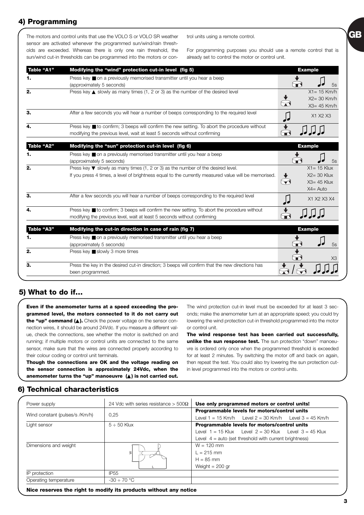# **4) Programming**

The motors and control units that use the VOLO S or VOLO SR weather sensor are activated whenever the programmed sun/wind/rain thresholds are exceeded. Whereas there is only one rain threshold, the sun/wind cut-in thresholds can be programmed into the motors or control units using a remote control.

For programming purposes you should use a remote control that is already set to control the motor or control unit.

**GB**

| Table "A1"        | Modifying the "wind" protection cut-in level (fig 5)                                                                                                                                                        | <b>Example</b>                                                                            |
|-------------------|-------------------------------------------------------------------------------------------------------------------------------------------------------------------------------------------------------------|-------------------------------------------------------------------------------------------|
| 1.                | Press key ■ on a previously memorised transmitter until you hear a beep<br>(approximately 5 seconds)                                                                                                        | 5s                                                                                        |
| 2.                | Press key $\triangle$ slowly as many times (1, 2 or 3) as the number of the desired level                                                                                                                   | $X1 = 15$ Km/h<br>$X2 = 30$ Km/h<br>$X3 = 45$ Km/h                                        |
| З.                | After a few seconds you will hear a number of beeps corresponding to the required level                                                                                                                     | X1 X2 X3                                                                                  |
|                   | Press key ■ to confirm; 3 beeps will confirm the new setting. To abort the procedure without<br>modifying the previous level, wait at least 5 seconds without confirming                                    |                                                                                           |
| Table "A2"        | Modifying the "sun" protection cut-in level (fig 6)                                                                                                                                                         | <b>Example</b>                                                                            |
| 1.                | Press key ■ on a previously memorised transmitter until you hear a beep<br>(approximately 5 seconds)                                                                                                        | 5s                                                                                        |
| 2.                | Press key $\blacktriangledown$ slowly as many times (1, 2 or 3) as the number of the desired level.<br>If you press 4 times, a level of brightness equal to the currently measured value will be memorised. | $X1 = 15$ Klux<br>$X2 = 30$ Klux<br>$\blacktriangledown$<br>$X3 = 45$ Klux<br>$X4 = Auto$ |
| З.                | After a few seconds you will hear a number of beeps corresponding to the required level                                                                                                                     | X1 X2 X3 X4                                                                               |
| 4.                | Press key ■ to confirm; 3 beeps will confirm the new setting. To abort the procedure without<br>modifying the previous level, wait at least 5 seconds without confirming                                    |                                                                                           |
| <b>Table "A3"</b> | Modifying the cut-in direction in case of rain (fig 7)                                                                                                                                                      | <b>Example</b>                                                                            |
| 1.                | Press key ■ on a previously memorised transmitter until you hear a beep<br>(approximately 5 seconds)                                                                                                        | 5s                                                                                        |
| 2.                | Press key ■ slowly 3 more times                                                                                                                                                                             |                                                                                           |
| З.                | Press the key in the desired cut-in direction; 3 beeps will confirm that the new directions has<br>been programmed.                                                                                         |                                                                                           |

## **5) What to do if…**

**Even if the anemometer turns at a speed exceeding the programmed level, the motors connected to it do not carry out** the "up" command (▲). Check the power voltage on the sensor connection wires, it should be around 24Vdc. If you measure a different value, check the connections, see whether the motor is switched on and running; if multiple motors or control units are connected to the same sensor, make sure that the wires are connected properly according to their colour coding or control unit terminals.

**Though the connections are OK and the voltage reading on the sensor connection is approximately 24Vdc, when the anemometer turns the "up" manoeuvre (**▲**) is not carried out.**

The wind protection cut-in level must be exceeded for at least 3 seconds; make the anemometer turn at an appropriate speed; you could try lowering the wind protection cut-in threshold programmed into the motor or control unit.

**The wind response test has been carried out successfully, unlike the sun response test.** The sun protection "down" manoeuvre is ordered only once when the programmed threshold is exceeded for at least 2 minutes. Try switching the motor off and back on again, then repeat the test. You could also try lowering the sun protection cutin level programmed into the motors or control units.

## **6) Technical characteristics**

| Power supply                   | 24 Vdc with series resistance $> 500\Omega$ | Use only programmed motors or control units!                      |
|--------------------------------|---------------------------------------------|-------------------------------------------------------------------|
|                                |                                             | Programmable levels for motors/control units                      |
| Wind constant (pulses/s /Km/h) | 0.25                                        | Level $1 = 15$ Km/h    Level $2 = 30$ Km/h    Level $3 = 45$ Km/h |
| Light sensor                   | $5 \div 50$ Klux                            | Programmable levels for motors/control units                      |
|                                |                                             | Level $1 = 15$ Klux Level $2 = 30$ Klux Level $3 = 45$ Klux       |
|                                |                                             | Level $4 =$ auto (set threshold with current brightness)          |
| Dimensions and weight          |                                             | $W = 120$ mm                                                      |
|                                | $\geq$                                      | $1 = 215$ mm                                                      |
|                                |                                             | $H = 85$ mm                                                       |
|                                |                                             | Weight $= 200$ gr                                                 |
| IP protection                  | <b>IP55</b>                                 |                                                                   |
| Operating temperature          | $-30 \div 70$ °C                            |                                                                   |

**Nice reserves the right to modify its products without any notice**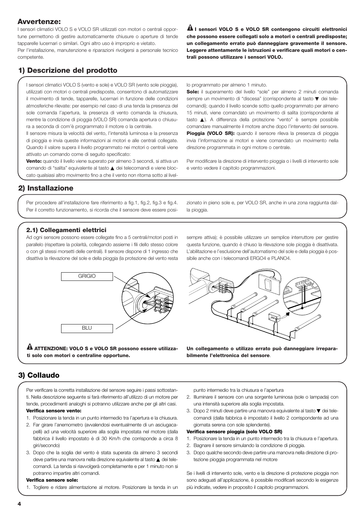## **Avvertenze:**

I sensori climatici VOLO S e VOLO SR utilizzati con motori o centrali opportune permettono di gestire automaticamente chiusure o aperture di tende tapparelle lucernari o similari. Ogni altro uso è improprio e vietato.

Per l'installazione, manutenzione e riparazioni rivolgersi a personale tecnico competente.

 $\mathbf{\Omega}$  I sensori VOLO S e VOLO SR contengono circuiti elettronici **che possono essere collegati solo a motori o centrali predisposte; un collegamento errato può danneggiare gravemente il sensore. Leggere attentamente le istruzioni e verificare quali motori o centrali possono utilizzare i sensori VOLO.**

# **1) Descrizione del prodotto**

I sensori climatici VOLO S (vento e sole) e VOLO SR (vento sole pioggia), utilizzati con motori o centrali predisposte, consentono di automatizzare il movimento di tende, tapparelle, lucernari in funzione delle condizioni atmosferiche rilevate: per esempio nel caso di una tenda la presenza del sole comanda l'apertura, la presenza di vento comanda la chiusura, mentre la condizione di pioggia (VOLO SR) comanda apertura o chiusura a seconda di com'è programmato il motore o la centrale.

Il sensore misura la velocità del vento, l'intensità luminosa e la presenza di pioggia e invia queste informazioni ai motori e alle centrali collegate. Quando il valore supera il livello programmato nei motori o centrali viene attivato un comando come di seguito specificato:

**Vento:** quando il livello viene superato per almeno 3 secondi, si attiva un comando di "salita" equivalente al tasto ▲ dei telecomandi e viene bloccato qualsiasi altro movimento fino a che il vento non ritorna sotto al livello programmato per almeno 1 minuto.

**Sole:** il superamento del livello "sole" per almeno 2 minuti comanda sempre un movimento di "discesa" (corrispondente al tasto ▼ dei telecomandi); quando il livello scende sotto quello programmato per almeno 15 minuti, viene comandato un movimento di salita (corrispondente al tasto ▲). A differenza della protezione "vento" è sempre possibile comandare manualmente il motore anche dopo l'intervento del sensore. **Pioggia (VOLO SR):** quando il sensore rileva la presenza di pioggia invia l'informazione ai motori e viene comandato un movimento nella direzione programmata in ogni motore o centrale.

Per modificare la direzione di intervento pioggia o i livelli di intervento sole e vento vedere il capitolo programmazioni.

# **2) Installazione**

Per procedere all'installazione fare riferimento a fig.1, fig.2, fig.3 e fig.4. Per il corretto funzionamento, si ricorda che il sensore deve essere posizionato in pieno sole e, per VOLO SR, anche in una zona raggiunta dalla pioggia.

## **2.1) Collegamenti elettrici**

Ad ogni sensore possono essere collegate fino a 5 centrali/motori posti in parallelo (rispettare la polarità, collegando assieme i fili dello stesso colore o con gli stessi morsetti delle centrali). Il sensore dispone di 1 ingresso che disattiva la rilevazione del sole e della pioggia (la protezione del vento resta



**ATTENZIONE: VOLO S e VOLO SR possono essere utilizza-! ti solo con motori o centraline opportune.**

sempre attiva); è possibile utilizzare un semplice interruttore per gestire questa funzione, quando è chiuso la rilevazione sole pioggia è disattivata. L'abilitazione e l'esclusione dell'automatismo del sole e della pioggia è possibile anche con i telecomandi ERGO4 e PLANO4.



**Un collegamento o utilizzo errato può danneggiare irreparabilmente l'elettronica del sensore**.

# **3) Collaudo**

Per verificare la corretta installazione del sensore seguire i passi sottostanti. Nella descrizione seguente si farà riferimento all'utilizzo di un motore per tende, procedimenti analoghi si potranno utilizzare anche per gli altri casi.

#### **Verifica sensore vento:**

- 1. Posizionare la tenda in un punto intermedio tra l'apertura e la chiusura.
- 2. Far girare l'anemometro (avvalendosi eventualmente di un asciugacapelli) ad una velocità superiore alla soglia impostata nel motore (dalla fabbrica il livello impostato è di 30 Km/h che corrisponde a circa 8 giri/secondo)
- 3. Dopo che la soglia del vento è stata superata da almeno 3 secondi deve partire una manovra nella direzione equivalente al tasto ▲ dei telecomandi. La tenda si riavvolgerà completamente e per 1 minuto non si potranno impartire altri comandi.

#### **Verifica sensore sole:**

1. Togliere e ridare alimentazione al motore. Posizionare la tenda in un

punto intermedio tra la chiusura e l'apertura

- 2. Illuminare il sensore con una sorgente luminosa (sole o lampada) con una intensità superiore alla soglia impostata.
- 3. Dopo 2 minuti deve partire una manovra equivalente al tasto ▼ dei telecomandi (dalla fabbrica è impostato il livello 2 corrispondente ad una giornata serena con sole splendente).

#### **Verifica sensore pioggia (solo VOLO SR)**

- 1. Posizionare la tenda in un punto intermedio tra la chiusura e l'apertura.
- 2. Bagnare il sensore simulando la condizione di pioggia.
- 3. Dopo qualche secondo deve partire una manovra nella direzione di protezione pioggia programmata nel motore

Se i livelli di intervento sole, vento e la direzione di protezione pioggia non sono adeguati all'applicazione, è possibile modificarli secondo le esigenze più indicate, vedere in proposito il capitolo programmazioni.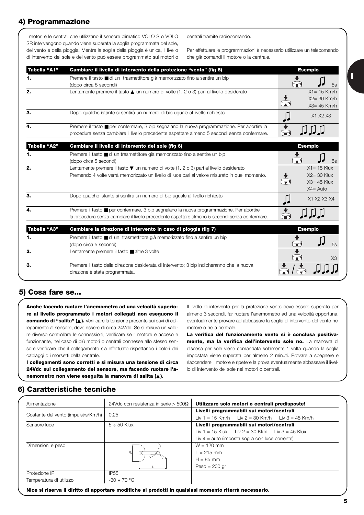# **4) Programmazione**

I motori e le centrali che utilizzano il sensore climatico VOLO S o VOLO SR intervengono quando viene superata la soglia programmata del sole, del vento e della pioggia. Mentre la soglia della pioggia è unica, il livello di intervento del sole e del vento può essere programmato sui motori o centrali tramite radiocomando.

Per effettuare le programmazioni è necessario utilizzare un telecomando che già comandi il motore o la centrale.

| Tabella "A1" | Cambiare il livello di intervento della protezione "vento" (fig 5)                                                                                                                         | <b>Esempio</b>                                                    |
|--------------|--------------------------------------------------------------------------------------------------------------------------------------------------------------------------------------------|-------------------------------------------------------------------|
| 1.           | Premere il tasto <b>■</b> di un trasmettitore già memorizzato fino a sentire un bip<br>(dopo circa 5 secondi)                                                                              | $\widehat{\mathbf{r}}$<br>5s                                      |
| 2.           | Lentamente premere il tasto $\triangle$ un numero di volte (1, 2 o 3) pari al livello desiderato                                                                                           | $X1 = 15$ Km/h<br>$X2 = 30$ Km/h<br>$X3 = 45$ Km/h                |
| 3.           | Dopo qualche istante si sentirà un numero di bip uguale al livello richiesto                                                                                                               | X1 X2 X3                                                          |
| 4.           | Premere il tasto ■ per confermare, 3 bip segnalano la nuova programmazione. Per abortire la<br>procedura senza cambiare il livello precedente aspettare almeno 5 secondi senza confermare. |                                                                   |
| Tabella "A2" | Cambiare il livello di intervento del sole (fig 6)                                                                                                                                         | <b>Esempio</b>                                                    |
|              | Premere il tasto ■ di un trasmettitore già memorizzato fino a sentire un bip<br>(dopo circa 5 secondi)                                                                                     | 5s                                                                |
| 2.           | Lentamente premere il tasto V un numero di volte (1, 2 o 3) pari al livello desiderato<br>Premendo 4 volte verrà memorizzato un livello di luce pari al valore misurato in quel momento.   | $X1 = 15$ Klux<br>$X2 = 30$ Klux<br>$X3 = 45$ Klux<br>$X4 = Auto$ |
| З.           | Dopo qualche istante si sentirà un numero di bip uguale al livello richiesto                                                                                                               | X1 X2 X3 X4                                                       |
| 4.           | Premere il tasto ■ per confermare, 3 bip segnalano la nuova programmazione. Per abortire<br>la procedura senza cambiare il livello precedente aspettare almeno 5 secondi senza confermare. |                                                                   |
| Tabella "A3" | Cambiare la direzione di intervento in caso di pioggia (fig 7)                                                                                                                             | <b>Esempio</b>                                                    |
| 1.           | Premere il tasto <b>■</b> di un trasmettitore già memorizzato fino a sentire un bip<br>(dopo circa 5 secondi)                                                                              | 5s                                                                |
| 2.           | Lentamente premere il tasto ■ altre 3 volte                                                                                                                                                |                                                                   |
| З.           | Premere il tasto della direzione desiderata di intervento; 3 bip indicheranno che la nuova<br>direzione è stata programmata.                                                               |                                                                   |

## **5) Cosa fare se...**

**Anche facendo ruotare l'anemometro ad una velocità superiore al livello programmato i motori collegati non eseguono il comando di "salita" (**▲**).** Verificare la tensione presente sui cavi di collegamento al sensore, deve essere di circa 24Vdc. Se si misura un valore diverso controllare le connessioni, verificare se il motore è acceso e funzionante, nel caso di più motori o centrali connesse allo stesso sensore verificare che il collegamento sia effettuato rispettando i colori dei cablaggi o i morsetti della centrale.

**I collegamenti sono corretti e si misura una tensione di circa 24Vdc sul collegamento del sensore, ma facendo ruotare l'anemometro non viene eseguita la manovra di salita (**▲**).**

Il livello di intervento per la protezione vento deve essere superato per almeno 3 secondi, far ruotare l'anemometro ad una velocità opportuna, eventualmente provare ad abbassare la soglia di intervento del vento nel motore o nella centrale.

**La verifica del funzionamento vento si è conclusa positivamente, ma la verifica dell'intervento sole no.** La manovra di discesa per sole viene comandata solamente 1 volta quando la soglia impostata viene superata per almeno 2 minuti. Provare a spegnere e riaccendere il motore e ripetere la prova eventualmente abbassare il livello di intervento del sole nei motori o centrali.

## **6) Caratteristiche tecniche**

| Alimentazione                       | 24Vdc con resistenza in serie > 500 $\Omega$ | Utilizzare solo motori o centrali predisposte!                                               |
|-------------------------------------|----------------------------------------------|----------------------------------------------------------------------------------------------|
| Costante del vento (impulsi/s/Km/h) | 0.25                                         | Livelli programmabili sui motori/centrali<br>Liv 1 = 15 Km/h Liv 2 = 30 Km/h Liv 3 = 45 Km/h |
| Sensore luce                        | $5 \div 50$ Klux                             | Livelli programmabili sui motori/centrali                                                    |
|                                     |                                              | Liv 1 = 15 Klux Liv 2 = 30 Klux Liv 3 = 45 Klux                                              |
|                                     |                                              | Liv $4 =$ auto (imposta soglia con luce corrente)                                            |
| Dimensioni e peso                   |                                              | $W = 120$ mm                                                                                 |
|                                     | sl                                           | $L = 215$ mm                                                                                 |
|                                     |                                              | $H = 85$ mm                                                                                  |
|                                     |                                              | $Peso = 200$ gr                                                                              |
| Protezione IP                       | <b>IP55</b>                                  |                                                                                              |
| Temperatura di utilizzo             | $-30 \div 70$ °C                             |                                                                                              |

**Nice si riserva il diritto di apportare modifiche ai prodotti in qualsiasi momento riterrà necessario.**

**5**

**I**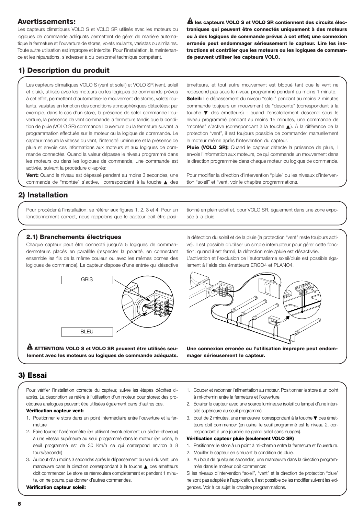## **Avertissements:**

Les capteurs climatiques VOLO S et VOLO SR utilisés avec les moteurs ou logiques de commande adéquats permettent de gérer de manière automatique la fermeture et l'ouverture de stores, volets roulants, vasistas ou similaires. Toute autre utilisation est impropre et interdite. Pour l'installation, la maintenance et les réparations, s'adresser à du personnel technique compétent.

 $\mathbf{\mathbf{\underline{A}}}$  les capteurs VOLO S et VOLO SR contiennent des circuits élec**troniques qui peuvent être connectés uniquement à des moteurs ou à des logiques de commande prévus à cet effet; une connexion erronée peut endommager sérieusement le capteur. Lire les instructions et contrôler que les moteurs ou les logiques de commande peuvent utiliser les capteurs VOLO.**

# **1) Description du produit**

Les capteurs climatiques VOLO S (vent et soleil) et VOLO SR (vent, soleil et pluie), utilisés avec les moteurs ou les logiques de commande prévus à cet effet, permettent d'automatiser le mouvement de stores, volets roulants, vasistas en fonction des conditions atmosphériques détectées: par exemple, dans le cas d'un store, la présence de soleil commande l'ouverture, la présence de vent commande la fermeture tandis que la condition de pluie (VOLO SR) commande l'ouverture ou la fermeture suivant la programmation effectuée sur le moteur ou la logique de commande. Le capteur mesure la vitesse du vent, l'intensité lumineuse et la présence de pluie et envoie ces informations aux moteurs et aux logiques de commande connectés. Quand la valeur dépasse le niveau programmé dans les moteurs ou dans les logiques de commande, une commande est activée, suivant la procédure ci-après:

**Vent:** Quand le niveau est dépassé pendant au moins 3 secondes, une commande de "montée" s'active, correspondant à la touche ▲ des

émetteurs, et tout autre mouvement est bloqué tant que le vent ne redescend pas sous le niveau programmé pendant au moins 1 minute. **Soleil:** Le dépassement du niveau "soleil" pendant au moins 2 minutes commande toujours un mouvement de "descente" (correspondant à la touche ▼ des émetteurs) ; quand l'ensoleillement descend sous le niveau programmé pendant au moins 15 minutes, une commande de "montée" s'active (correspondant à la touche ▲). À la différence de la protection "vent", il est toujours possible de commander manuellement le moteur même après l'intervention du capteur.

Pluie (VOLO SR): Quand le capteur détecte la présence de pluie, il envoie l'information aux moteurs, ce qui commande un mouvement dans la direction programmée dans chaque moteur ou logique de commande.

Pour modifier la direction d'intervention "pluie" ou les niveaux d'intervention "soleil" et "vent, voir le chapitre programmations.

# **2) Installation**

Pour procéder à l'installation, se référer aux figures 1, 2, 3 et 4. Pour un fonctionnement correct, nous rappelons que le capteur doit être posi-

## tionné en plein soleil et, pour VOLO SR, également dans une zone exposée à la pluie.

## **2.1) Branchements électriques**

Chaque capteur peut être connecté jusqu'à 5 logiques de commande/moteurs placés en parallèle (respecter la polarité, en connectant ensemble les fils de la même couleur ou avec les mêmes bornes des logiques de commande). Le capteur dispose d'une entrée qui désactive



**ATTENTION: VOLO S et VOLO SR peuvent être utilisés seu-! lement avec les moteurs ou logiques de commande adéquats.**

la détection du soleil et de la pluie (la protection "vent" reste toujours active). Il est possible d'utiliser un simple interrupteur pour gérer cette fonction: quand il est fermé, la détection soleil/pluie est désactivée. L'activation et l'exclusion de l'automatisme soleil/pluie est possible également à l'aide des émetteurs ERGO4 et PLANO4.



**Une connexion erronée ou l'utilisation impropre peut endommager sérieusement le capteur.**

# **3) Essai**

Pour vérifier l'installation correcte du capteur, suivre les étapes décrites ciaprès. La description se réfère à l'utilisation d'un moteur pour stores; des procédures analogues peuvent être utilisées également dans d'autres cas.

#### **Vérification capteur vent:**

- 1. Positionner le store dans un point intermédiaire entre l'ouverture et la fermeture
- 2. Faire tourner l'anémomètre (en utilisant éventuellement un sèche-cheveux) à une vitesse supérieure au seuil programmé dans le moteur (en usine, le seuil programmé est de 30 Km/h ce qui correspond environ à 8 tours/seconde)
- 3. Au bout d'au moins 3 secondes après le dépassement du seuil du vent, une manœuvre dans la direction correspondant à la touche ▲ des émetteurs doit commencer. Le store se réenroulera complètement et pendant 1 minute, on ne pourra pas donner d'autres commandes.

#### **Vérification capteur soleil:**

- 1. Couper et redonner l'alimentation au moteur. Positionner le store à un point à mi-chemin entre la fermeture et l'ouverture.
- 2. Éclairer le capteur avec une source lumineuse (soleil ou lampe) d'une intensité supérieure au seuil programmé.
- 3. bout de 2 minutes, une manœuvre correspondant à la touche ▼ des émetteurs doit commencer (en usine, le seuil programmé est le niveau 2, correspondant à une journée de grand soleil sans nuages).

#### **Vérification capteur pluie (seulement VOLO SR)**

- 1. Positionner le store à un point à mi-chemin entre la fermeture et l'ouverture.
- 2. Mouiller le capteur en simulant la condition de pluie.
- 3. Au bout de quelques secondes, une manœuvre dans la direction programmée dans le moteur doit commencer.

Si les niveaux d'intervention "soleil", "vent" et la direction de protection "pluie" ne sont pas adaptés à l'application, il est possible de les modifier suivant les exigences. Voir à ce sujet le chapitre programmations.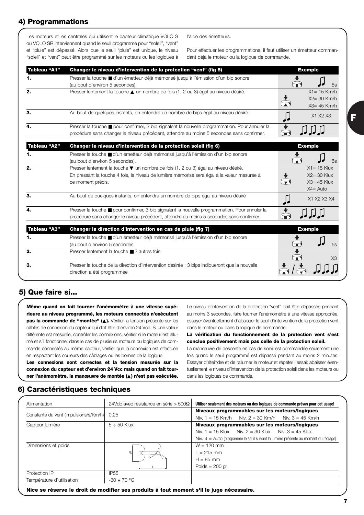# **4) Programmations**

Les moteurs et les centrales qui utilisent le capteur climatique VOLO S ou VOLO SR interviennent quand le seuil programmé pour "soleil", "vent" et "pluie" est dépassé. Alors que le seuil "pluie" est unique, le niveau "soleil" et "vent" peut être programmé sur les moteurs ou les logiques à l'aide des émetteurs.

Pour effectuer les programmations, il faut utiliser un émetteur commandant déjà le moteur ou la logique de commande.

| Tableau "A1" | Changer le niveau d'intervention de la protection "vent" (fig 5)                                                                                                                                      | <b>Exemple</b>                                                                            |
|--------------|-------------------------------------------------------------------------------------------------------------------------------------------------------------------------------------------------------|-------------------------------------------------------------------------------------------|
| 1.           | Presser la touche ■ d'un émetteur déjà mémorisé jusqu'à l'émission d'un bip sonore<br>(au bout d'environ 5 secondes).                                                                                 | ₩<br>5s                                                                                   |
| 2.           | Presser lentement la touche ▲ un nombre de fois (1, 2 ou 3) égal au niveau désiré.                                                                                                                    | $X1 = 15$ Km/h<br>$X2 = 30$ Km/h<br>$X3 = 45$ Km/h                                        |
| З.           | Au bout de quelques instants, on entendra un nombre de bips égal au niveau désiré.                                                                                                                    | X1 X2 X3                                                                                  |
| 4.           | Presser la touche ■ pour confirmer, 3 bip signalent la nouvelle programmation. Pour annuler la<br>procédure sans changer le niveau précédent, attendre au moins 5 secondes sans confirmer.            |                                                                                           |
| Tableau "A2" | Changer le niveau d'intervention de la protection soleil (fig 6)                                                                                                                                      | <b>Exemple</b>                                                                            |
|              | Presser la touche ■ d'un émetteur déjà mémorisé jusqu'à l'émission d'un bip sonore<br>(au bout d'environ 5 secondes).                                                                                 | 5s                                                                                        |
| 2.           | Presser lentement la touche vun nombre de fois (1, 2 ou 3) égal au niveau désiré.<br>En pressant la touche 4 fois, le niveau de lumière mémorisé sera égal à la valeur mesurée à<br>ce moment précis. | $X1 = 15$ Klux<br>$X2 = 30$ Klux<br>$\blacktriangledown$<br>$X3 = 45$ Klux<br>$X4 = Auto$ |
| З.           | Au bout de quelques instants, on entendra un nombre de bips égal au niveau désiré                                                                                                                     | X1 X2 X3 X4                                                                               |
| 4.           | Presser la touche ■ pour confirmer, 3 bip signalent la nouvelle programmation. Pour annuler la<br>procédure sans changer le niveau précédent, attendre au moins 5 secondes sans confirmer.            | F                                                                                         |
| Tableau "A3" | Changer la direction d'intervention en cas de pluie (fig 7)                                                                                                                                           | <b>Exemple</b>                                                                            |
| 1.           | Presser la touche ■ d'un émetteur déjà mémorisé jusqu'à l'émission d'un bip sonore<br>(au bout d'environ 5 secondes                                                                                   | 5s                                                                                        |
| 2.           | Presser lentement la touche ■ 3 autres fois                                                                                                                                                           | X3                                                                                        |
| З.           | Presser la touche de la direction d'intervention désirée ; 3 bips indiqueront que la nouvelle<br>direction a été programmée                                                                           |                                                                                           |

## **5) Que faire si...**

**Même quand on fait tourner l'anémomètre à une vitesse supérieure au niveau programmé, les moteurs connectés n'exécutent pas la commande de "montée" (**▲**).** Vérifier la tension présente sur les câbles de connexion du capteur qui doit être d'environ 24 Vcc. Si une valeur différente est mesurée, contrôler les connexions, vérifier si le moteur est allumé et s'il fonctionne; dans le cas de plusieurs moteurs ou logiques de commande connectés au même capteur, vérifier que la connexion est effectuée en respectant les couleurs des câblages ou les bornes de la logique.

**Les connexions sont correctes et la tension mesurée sur la connexion du capteur est d'environ 24 Vcc mais quand on fait tourner l'anémomètre, la manœuvre de montée (**▲**) n'est pas exécutée.**

Le niveau d'intervention de la protection "vent" doit être dépassée pendant au moins 3 secondes, faire tourner l'anémomètre à une vitesse appropriée, essayer éventuellement d'abaisser le seuil d'intervention de la protection vent dans le moteur ou dans la logique de commande.

**La vérification du fonctionnement de la protection vent s'est conclue positivement mais pas celle de la protection soleil.** La manœuvre de descente en cas de soleil est commandée seulement une fois quand le seuil programmé est dépassé pendant au moins 2 minutes. Essayer d'éteindre et de rallumer le moteur et répéter l'essai; abaisser éventuellement le niveau d'intervention de la protection soleil dans les moteurs ou dans les logiques de commande.

## **6) Caractéristiques techniques**

| Alimentation                          | 24Vdc avec résistance en série > 500 $\Omega$ | Utiliser seulement des moteurs ou des logiques de commande prévus pour cet usage!                    |
|---------------------------------------|-----------------------------------------------|------------------------------------------------------------------------------------------------------|
| Constante du vent (impulsions/s/Km/h) | 0.25                                          | Niveaux programmables sur les moteurs/logiques<br>Niv. 1 = 15 Km/h Niv. 2 = 30 Km/h Niv. 3 = 45 Km/h |
| Capteur lumière                       | $5 \div 50$ Klux                              | Niveaux programmables sur les moteurs/logiques                                                       |
|                                       |                                               | Niv. 1 = 15 Klux Niv. 2 = 30 Klux Niv. 3 = 45 Klux                                                   |
|                                       |                                               | Niv. $4 =$ auto (programme le seuil suivant la lumière présente au moment du réglage)                |
| Dimensions et poids                   |                                               | $W = 120$ mm                                                                                         |
|                                       | ≳                                             | $1 = 215$ mm                                                                                         |
|                                       |                                               | $H = 85$ mm                                                                                          |
|                                       |                                               | Poids $= 200$ gr                                                                                     |
| Protection IP                         | <b>IP55</b>                                   |                                                                                                      |
| Température d'utilisation             | $-30 \div 70$ °C                              |                                                                                                      |

**Nice se réserve le droit de modifier ses produits à tout moment s'il le juge nécessaire.**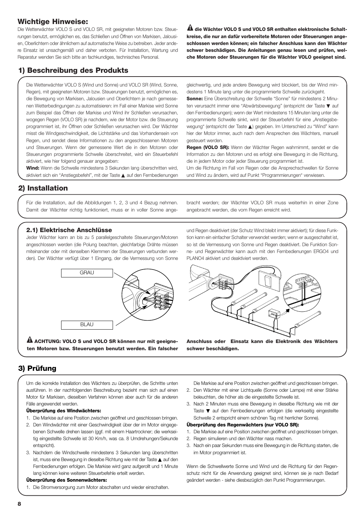## **Wichtige Hinweise:**

Die Wetterwächter VOLO S und VOLO SR, mit geeigneten Motoren bzw. Steuerungen benutzt, ermöglichen es, das Schließen und Öffnen von Markisen, Jalousien, Oberlichtern oder ähnlichem auf automatische Weise zu betreiben. Jeder andere Einsatz ist unsachgemäß und daher verboten. Für Installation, Wartung und Reparatur wenden Sie sich bitte an fachkundiges, technisches Personal.

 $\mathbf{\hat{a}}$  die Wächter VOLO S und VOLO SR enthalten elektronische Schalt**kreise, die nur an dafür vorbereitete Motoren oder Steuerungen angeschlossen werden können; ein falscher Anschluss kann den Wächter schwer beschädigen. Die Anleitungen genau lesen und prüfen, welche Motoren oder Steuerungen für die Wächter VOLO geeignet sind.**

# **1) Beschreibung des Produkts**

Die Wetterwächter VOLO S (Wind und Sonne) und VOLO SR (Wind, Sonne, Regen), mit geeigneten Motoren bzw. Steuerungen benutzt, ermöglichen es, die Bewegung von Markisen, Jalousien und Oberlichtern je nach gemessenen Wetterbedingungen zu automatisieren: im Fall einer Markise wird Sonne zum Beispiel das Öffnen der Markise und Wind ihr Schließen verursachen, wogegen Regen (VOLO SR) je nachdem, wie der Motor bzw. die Steuerung programmiert ist, ihr Öffnen oder Schließen verursachen wird. Der Wächter misst die Windgeschwindigkeit, die Lichtstärke und das Vorhandensein von Regen, und sendet diese Informationen zu den angeschlossenen Motoren und Steuerungen. Wenn der gemessene Wert die in den Motoren oder Steuerungen programmierte Schwelle überschreitet, wird ein Steuerbefehl aktiviert, wie hier folgend genauer angegeben:

**Wind:** Wenn die Schwelle mindestens 3 Sekunden lang überschritten wird, aktiviert sich ein "Anstiegsbefehl", mit der Taste ▲ auf den Fernbedienungen

gleichwertig, und jede andere Bewegung wird blockiert, bis der Wind mindestens 1 Minute lang unter die programmierte Schwelle zurückgeht.

**Sonne:** Eine Überschreitung der Schwelle "Sonne" für mindestens 2 Minuten verursacht immer eine "Abwärtsbewegung" (entspricht der Taste ▼ auf den Fernbedienungen); wenn der Wert mindestens 15 Minuten lang unter die programmierte Schwelle sinkt, wird der Steuerbefehl für eine "Anstiegsbewegung" (entspricht der Taste ▲) gegeben. Im Unterschied zu "Wind" kann hier der Motor immer, auch nach dem Ansprechen des Wächters, manuell gesteuert werden.

**Regen (VOLO SR):** Wenn der Wächter Regen wahrnimmt, sendet er die Information zu den Motoren und es erfolgt eine Bewegung in die Richtung, die in jedem Motor oder jeder Steuerung programmiert ist.

Um die Richtung im Fall von Regen oder die Ansprechschwellen für Sonne und Wind zu ändern, wird auf Punkt "Programmierungen" verwiesen.

## **2) Installation**

Für die Installation, auf die Abbildungen 1, 2, 3 und 4 Bezug nehmen. Damit der Wächter richtig funktioniert, muss er in voller Sonne angebracht werden; der Wächter VOLO SR muss weiterhin in einer Zone angebracht werden, die vom Regen erreicht wird.

## **2.1) Elektrische Anschlüsse**

Jeder Wächter kann an bis zu 5 parallelgeschaltete Steuerungen/Motoren angeschlossen werden (die Polung beachten, gleichfarbige Drähte müssen miteinander oder mit denselben Klemmen der Steuerungen verbunden werden). Der Wächter verfügt über 1 Eingang, der die Vermessung von Sonne



 $\mathbf A$  ACHTUNG: VOLO S und VOLO SR können nur mit geeigne**ten Motoren bzw. Steuerungen benutzt werden. Ein falscher** und Regen deaktiviert (der Schutz Wind bleibt immer aktiviert); für diese Funktion kann ein einfacher Schalter verwendet werden; wenn er ausgeschaltet ist, so ist die Vermessung von Sonne und Regen deaktiviert. Die Funktion Sonne- und Regenwächter kann auch mit den Fernbedienungen ERGO4 und PLANO4 aktiviert und deaktiviert werden.



**Anschluss oder Einsatz kann die Elektronik des Wächters schwer beschädigen.**

## **3) Prüfung**

Um die korrekte Installation des Wächters zu überprüfen, die Schritte unten ausführen. In der nachfolgenden Beschreibung bezieht man sich auf einen Motor für Markisen, dieselben Verfahren können aber auch für die anderen Fälle angewendet werden.

#### **Überprüfung des Windwächters:**

- 1. Die Markise auf eine Position zwischen geöffnet und geschlossen bringen.
- 2. Den Windwächter mit einer Geschwindigkeit über der im Motor eingegebenen Schwelle drehen lassen (ggf. mit einem Haartrockner; die werkseitig eingestellte Schwelle ist 30 Km/h, was ca. 8 Umdrehungen/Sekunde entspricht).
- 3. Nachdem die Windschwelle mindestens 3 Sekunden lang überschritten ist, muss eine Bewegung in dieselbe Richtung wie mit der Taste ▲ auf den Fernbedienungen erfolgen. Die Markise wird ganz aufgerollt und 1 Minute lang können keine weiteren Steuerbefehle erteilt werden.

#### **Überprüfung des Sonnenwächters:**

1. Die Stromversorgung zum Motor abschalten und wieder einschalten.

Die Markise auf eine Position zwischen geöffnet und geschlossen bringen.

- 2. Den Wächter mit einer Lichtquelle (Sonne oder Lampe) mit einer Stärke beleuchten, die höher als die eingestellte Schwelle ist.
- 3. Nach 2 Minuten muss eine Bewegung in dieselbe Richtung wie mit der Taste ▼ auf den Fernbedienungen erfolgen (die werkseitig eingestellte Schwelle 2 entspricht einem schönen Tag mit herrlicher Sonne).

#### **Überprüfung des Regenwächters (nur VOLO SR):**

- 1. Die Markise auf eine Position zwischen geöffnet und geschlossen bringen.
- 2. Regen simulieren und den Wächter nass machen.
- 3. Nach ein paar Sekunden muss eine Bewegung in die Richtung starten, die im Motor programmiert ist.

Wenn die Schwellwerte Sonne und Wind und die Richtung für den Regenschutz nicht für die Anwendung geeignet sind, können sie je nach Bedarf geändert werden - siehe diesbezüglich den Punkt Programmierungen.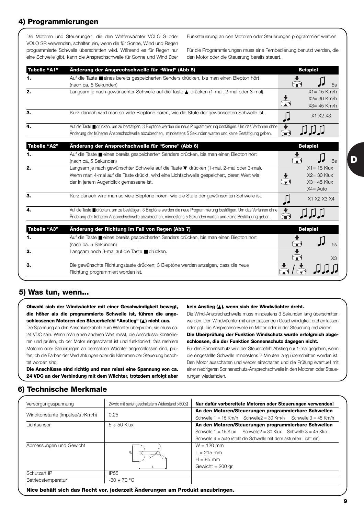# **4) Programmierungen**

Die Motoren und Steuerungen, die den Wetterwächter VOLO S oder VOLO SR verwenden, schalten ein, wenn die für Sonne, Wind und Regen programmierte Schwelle überschritten wird. Während es für Regen nur eine Schwelle gibt, kann die Ansprechschwelle für Sonne und Wind über Funksteuerung an den Motoren oder Steuerungen programmiert werden.

Für die Programmierungen muss eine Fernbedienung benutzt werden, die den Motor oder die Steuerung bereits steuert.

| <b>Tabelle "A1"</b> | Änderung der Ansprechschwelle für "Wind" (Abb 5)                                                                                                                                                                                         | <b>Beispiel</b>                                                   |
|---------------------|------------------------------------------------------------------------------------------------------------------------------------------------------------------------------------------------------------------------------------------|-------------------------------------------------------------------|
|                     | Auf die Taste <b>E</b> eines bereits gespeicherten Senders drücken, bis man einen Biepton hört<br>(nach ca. 5 Sekunden)                                                                                                                  | $\blacksquare$<br>5s                                              |
| 2.                  | Langsam je nach gewünschter Schwelle auf die Taste ▲ drücken (1-mal, 2-mal oder 3-mal).                                                                                                                                                  | $X1 = 15$ Km/h<br>$X2 = 30$ Km/h<br>$X3 = 45$ Km/h                |
| З.                  | Kurz danach wird man so viele Bieptöne hören, wie die Stufe der gewünschten Schwelle ist.                                                                                                                                                | X1 X2 X3                                                          |
|                     | Auf die Taste II drücken, um zu bestätigen, 3 Bieptöne werden die neue Programmierung bestätigen. Um das Verfahren ohne<br>Änderung der früheren Ansprechschwelle abzubrechen, mindestens 5 Sekunden warten und keine Bestätigung geben. | О                                                                 |
| Tabelle "A2"        | Änderung der Ansprechschwelle für "Sonne" (Abb 6)                                                                                                                                                                                        | <b>Beispiel</b>                                                   |
|                     | Auf die Taste <b>E</b> eines bereits gespeicherten Senders drücken, bis man einen Biepton hört<br>(nach ca. 5 Sekunden)                                                                                                                  | 5s                                                                |
| 2.                  | Langsam je nach gewünschter Schwelle auf die Taste ▼ drücken (1-mal, 2-mal oder 3-mal).<br>Wenn man 4-mal auf die Taste drückt, wird eine Lichtschwelle gespeichert, deren Wert wie<br>der in jenem Augenblick gemessene ist.            | $X1 = 15$ Klux<br>$X2 = 30$ Klux<br>$X3 = 45$ Klux<br>$X4 = Auto$ |
| З.                  | Kurz danach wird man so viele Bieptöne hören, wie die Stufe der gewünschten Schwelle ist.                                                                                                                                                | X1 X2 X3 X4                                                       |
|                     | Auf die Taste ■ drücken, um zu bestätigen, 3 Bieptöne werden die neue Programmierung bestätigen. Um das Verfahren ohne<br>Änderung der früheren Ansprechschwelle abzubrechen, mindestens 5 Sekunden warten und keine Bestätigung geben.  | لەكە كەلەلدا                                                      |
| <b>Tabelle "A3"</b> | Änderung der Richtung im Fall von Regen (Abb 7)                                                                                                                                                                                          | <b>Beispiel</b>                                                   |
| 1.                  | Auf die Taste eines bereits gespeicherten Senders drücken, bis man einen Biepton hört<br>(nach ca. 5 Sekunden)                                                                                                                           | 5s                                                                |
| 2.                  | Langsam noch 3-mal auf die Taste udrücken.                                                                                                                                                                                               | XЗ                                                                |
| З.                  | Die gewünschte Richtungstaste drücken; 3 Bieptöne werden anzeigen, dass die neue<br>Richtung programmiert worden ist.                                                                                                                    |                                                                   |

## **5) Was tun, wenn...**

**Obwohl sich der Windwächter mit einer Geschwindigkeit bewegt, die höher als die programmierte Schwelle ist, führen die angeschlossenen Motoren den Steuerbefehl "Anstieg" (**▲**) nicht aus.** Die Spannung an den Anschlusskabeln zum Wächter überprüfen; sie muss ca. 24 VDC sein. Wenn man einen anderen Wert misst, die Anschlüsse kontrollie-

ren und prüfen, ob der Motor eingeschaltet ist und funktioniert; falls mehrere Motoren oder Steuerungen an demselben Wächter angeschlossen sind, prüfen, ob die Farben der Verdrahtungen oder die Klemmen der Steuerung beachtet worden sind.

**Die Anschlüsse sind richtig und man misst eine Spannung von ca. 24 VDC an der Verbindung mit dem Wächter, trotzdem erfolgt aber**

#### **kein Anstieg (**▲**), wenn sich der Windwächter dreht.**

Die Wind-Ansprechschwelle muss mindestens 3 Sekunden lang überschritten werden. Den Windwächter mit einer passenden Geschwindigkeit drehen lassen oder ggf. die Ansprechschwelle im Motor oder in der Steuerung reduzieren. **Die Überprüfung der Funktion Windschutz wurde erfolgreich abgeschlossen, die der Funktion Sonnenschutz dagegen nicht.** Für den Sonnenschutz wird der Steuerbefehl Abstieg nur 1-mal gegeben, wenn

die eingestellte Schwelle mindestens 2 Minuten lang überschritten worden ist. Den Motor ausschalten und wieder einschalten und die Prüfung eventuell mit einer niedrigeren Sonnenschutz-Ansprechschwelle in den Motoren oder Steuerungen wiederholen.

## **6) Technische Merkmale**

| Versorgungsspannung             | 24Vdc mit seriengeschaltetem Widerstand >500 $\Omega$ | Nur dafür vorbereitete Motoren oder Steuerungen verwenden!           |
|---------------------------------|-------------------------------------------------------|----------------------------------------------------------------------|
|                                 | 0,25                                                  | An den Motoren/Steuerungen programmierbare Schwellen                 |
| Windkonstante (Impulse/s /Km/h) |                                                       | Schwelle $1 = 15$ Km/h Schwelle $2 = 30$ Km/h Schwelle $3 = 45$ Km/h |
| Lichtsensor                     | $5 \div 50$ Klux                                      | An den Motoren/Steuerungen programmierbare Schwellen                 |
|                                 |                                                       | Schwelle $1 = 15$ Klux Schwelle $2 = 30$ Klux Schwelle $3 = 45$ Klux |
|                                 |                                                       | Schwelle 4 = auto (stellt die Schwelle mit dem aktuellen Licht ein)  |
| Abmessungen und Gewicht         |                                                       | $W = 120$ mm                                                         |
|                                 | $\geq$                                                | $l = 215$ mm                                                         |
|                                 |                                                       | $H = 85$ mm                                                          |
|                                 |                                                       | Gewicht = $200$ gr                                                   |
| Schutzart IP                    | IP <sub>55</sub>                                      |                                                                      |
| Betriebstemperatur              | $-30 \div 70$ °C                                      |                                                                      |

**Nice behält sich das Recht vor, jederzeit Änderungen am Produkt anzubringen.**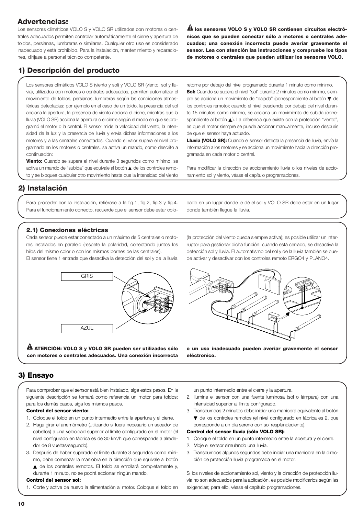## **Advertencias:**

Los sensores climáticos VOLO S y VOLO SR utilizados con motores o centrales adecuados permiten controlar automáticamente el cierre y apertura de toldos, persianas, lumbreras o similares. Cualquier otro uso es considerado inadecuado y está prohibido. Para la instalación, mantenimiento y reparaciones, diríjase a personal técnico competente.

 $\mathbf{\Omega}$  los sensores VOLO S y VOLO SR contienen circuitos electró**nicos que se pueden conectar sólo a motores o centrales adecuados; una conexión incorrecta puede averiar gravemente el sensor. Lea con atención las instrucciones y compruebe los tipos de motores o centrales que pueden utilizar los sensores VOLO.**

# **1) Descripción del producto**

Los sensores climáticos VOLO S (viento y sol) y VOLO SR (viento, sol y lluvia), utilizados con motores o centrales adecuados, permiten automatizar el movimiento de toldos, persianas, lumbreras según las condiciones atmosféricas detectadas: por ejemplo en el caso de un toldo, la presencia del sol acciona la apertura, la presencia de viento acciona el cierre, mientras que la lluvia (VOLO SR) acciona la apertura o el cierre según el modo en que se programó el motor o la central. El sensor mide la velocidad del viento, la intensidad de la luz y la presencia de lluvia y envía dichas informaciones a los motores y a las centrales conectados. Cuando el valor supera el nivel programado en los motores o centrales, se activa un mando, como descrito a continuación:

**Viento:** Cuando se supera el nivel durante 3 segundos como mínimo, se activa un mando de "subida" que equivale al botón ▲ de los controles remoto y se bloquea cualquier otro movimiento hasta que la intensidad del viento retorne por debajo del nivel programado durante 1 minuto como mínimo. **Sol:** Cuando se supera el nivel "sol" durante 2 minutos como mínimo, siempre se acciona un movimiento de "bajada" (correspondiente al botón ▼ de los controles remoto); cuando el nivel desciende por debajo del nivel durante 15 minutos como mínimo, se acciona un movimiento de subida (correspondiente al botón ▲). La diferencia que existe con la protección "viento", es que el motor siempre se puede accionar manualmente, incluso después de que el sensor haya actuado.

**Lluvia (VOLO SR):** Cuando el sensor detecta la presencia de lluvia, envía la información a los motores y se acciona un movimiento hacia la dirección programada en cada motor o central.

Para modificar la dirección de accionamiento lluvia o los niveles de accionamiento sol y viento, véase el capítulo programaciones.

# **2) Instalación**

Para proceder con la instalación, refiérase a la fig.1, fig.2, fig.3 y fig.4. Para el funcionamiento correcto, recuerde que el sensor debe estar colocado en un lugar donde le dé el sol y VOLO SR debe estar en un lugar donde también llegue la lluvia.

## **2.1) Conexiones eléctricas**

Cada sensor puede estar conectado a un máximo de 5 centrales o motores instalados en paralelo (respete la polaridad, conectando juntos los hilos del mismo color o con los mismos bornes de las centrales). El sensor tiene 1 entrada que desactiva la detección del sol y de la lluvia



**ATENCIÓN: VOLO S y VOLO SR pueden ser utilizados sólo ! con motores o centrales adecuados. Una conexión incorrecta**

(la protección del viento queda siempre activa); es posible utilizar un interruptor para gestionar dicha función: cuando está cerrado, se desactiva la detección sol y lluvia. El automatismo del sol y de la lluvia también se puede activar y desactivar con los controles remoto ERGO4 y PLANO4.



**o un uso inadecuado pueden averiar gravemente el sensor eléctronico.**

# **3) Ensayo**

Para comprobar que el sensor está bien instalado, siga estos pasos. En la siguiente descripción se tomará como referencia un motor para toldos; para los demás casos, siga los mismos pasos.

#### **Control del sensor viento:**

- 1. Coloque el toldo en un punto intermedio entre la apertura y el cierre.
- 2. Haga girar el anemómetro (utilizando si fuera necesario un secador de cabellos) a una velocidad superior al límite configurado en el motor (el nivel configurado en fábrica es de 30 km/h que corresponde a alrededor de 8 vueltas/segundo).
- 3. Después de haber superado el límite durante 3 segundos como mínimo, debe comenzar la maniobra en la dirección que equivale al botón
	- ▲ de los controles remotos. El toldo se enrollará completamente y, durante 1 minuto, no se podrá accionar ningún mando.

#### **Control del sensor sol:**

1. Corte y active de nuevo la alimentación al motor. Coloque el toldo en

un punto intermedio entre el cierre y la apertura.

- 2. Ilumine el sensor con una fuente luminosa (sol o lámpara) con una intensidad superior al límite configurado.
- 3. Transcurridos 2 minutos debe iniciar una maniobra equivalente al botón ▼ de los controles remotos (el nivel configurado en fábrica es 2, que corresponde a un día sereno con sol resplandeciente).
- **Control del sensor lluvia (sólo VOLO SR):**
- 1. Coloque el toldo en un punto intermedio entre la apertura y el cierre.
- 2. Moje el sensor simulando una lluvia.
- 3. Transcurridos algunos segundos debe iniciar una maniobra en la dirección de protección lluvia programada en el motor.

Si los niveles de accionamiento sol, viento y la dirección de protección lluvia no son adecuados para la aplicación, es posible modificarlos según las exigencias; para ello, véase el capítulo programaciones.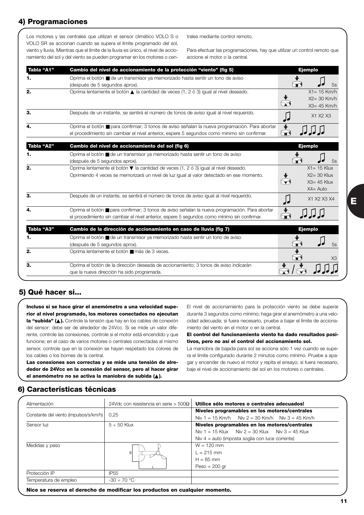# **4) Programaciones**

Los motores y las centrales que utilizan el sensor climático VOLO S o VOLO SR se accionan cuando se supera el límite programado del sol, viento y lluvia. Mientras que el límite de la lluvia es único, el nivel de accionamiento del sol y del viento se pueden programar en los motores o centrales mediante control remoto.

Para efectuar las programaciones, hay que utilizar un control remoto que accione el motor o la central.

| Tabla "A1" | Cambio del nivel de accionamiento de la protección "viento" (fig 5)                                                                                                                                   | <b>Ejemplo</b>                                                    |
|------------|-------------------------------------------------------------------------------------------------------------------------------------------------------------------------------------------------------|-------------------------------------------------------------------|
| 1.         | Oprima el botón ■ de un transmisor ya memorizado hasta sentir un tono de aviso<br>(después de 5 segundos aprox).                                                                                      | Œ<br>5s                                                           |
| 2.         | Oprima lentamente el botón $\triangle$ la cantidad de veces (1, 2 ó 3) igual al nivel deseado.                                                                                                        | $X1 = 15$ Km/h<br>$X2 = 30$ Km/h<br>$X3 = 45$ Km/h                |
| 3.         | Después de un instante, se sentirá el número de tonos de aviso igual al nivel requerido.                                                                                                              | X1 X2 X3                                                          |
| 4.         | Oprima el botón ■ para confirmar; 3 tonos de aviso señalan la nueva programación. Para abortar<br>el procedimiento sin cambiar el nivel anterior, espere 5 segundos como mínimo sin confirmar.        | $\blacksquare$                                                    |
| Tabla "A2" | Cambio del nivel de accionamiento del sol (fig 6)                                                                                                                                                     | <b>Ejemplo</b>                                                    |
| 1.         | Oprima el botón ■ de un transmisor ya memorizado hasta sentir un tono de aviso<br>(después de 5 segundos aprox).                                                                                      | 5s                                                                |
| 2.         | Oprima lentamente el botón $\blacktriangledown$ la cantidad de veces (1, 2 ó 3) igual al nivel deseado.<br>Oprimiendo 4 veces se memorizará un nivel de luz igual al valor detectado en ese momento.  | $X1 = 15$ Klux<br>$X2 = 30$ Klux<br>$X3 = 45$ Klux<br>$X4 = Auto$ |
| 3.         | Después de un instante, se sentirá el número de tonos de aviso igual al nivel requerido.                                                                                                              | X1 X2 X3 X4                                                       |
| 4.         | Oprima el botón <b>E</b> para confirmar; 3 tonos de aviso señalan la nueva programación. Para abortar<br>el procedimiento sin cambiar el nivel anterior, espere 5 segundos como mínimo sin confirmar. |                                                                   |
| Tabla "A3" | Cambio de la dirección de accionamiento en caso de lluvia (fig 7)                                                                                                                                     | <b>Ejemplo</b>                                                    |
| 1.         | Oprima el botón ■ de un transmisor ya memorizado hasta sentir un tono de aviso<br>(después de 5 segundos aprox).                                                                                      | 5s                                                                |
| 2.         | Oprima lentamente el botón $\blacksquare$ más de 3 veces.                                                                                                                                             | X3                                                                |
| 3.         | Oprima el botón de la dirección deseada de accionamiento; 3 tonos de aviso indicarán<br>que la nueva dirección ha sido programada.                                                                    |                                                                   |

# **5) Qué hacer si...**

**Incluso si se hace girar el anemómetro a una velocidad superior al nivel programado, los motores conectados no ejecutan la "subida" (**▲**).** Controle la tensión que hay en los cables de conexión del sensor: debe ser de alrededor de 24Vcc. Si se mide un valor diferente, controle las conexiones, controle si el motor está encendido y que funcione; en el caso de varios motores o centrales conectadas al mismo sensor, controle que en la conexión se hayan respetado los colores de los cables o los bornes de la central.

**Las conexiones son correctas y se mide una tensión de alrededor de 24Vcc en la conexión del sensor, pero al hacer girar el anemómetro no se activa la maniobra de subida (**▲**).**

El nivel de accionamiento para la protección viento se debe superar durante 3 segundos como mínimo; haga girar el anemómetro a una velocidad adecuada; si fuera necesario, pruebe a bajar el límite de accionamiento del viento en el motor o en la central.

**El control del funcionamiento viento ha dado resultados positivos, pero no así el control del accionamiento sol.**

La maniobra de bajada para sol se acciona sólo 1 vez cuando se supera el límite configurado durante 2 minutos como mínimo. Pruebe a apagar y encender de nuevo el motor y repita el ensayo; si fuera necesario, baje el nivel de accionamiento del sol en los motores o centrales.

## **6) Características técnicas**

| Alimentación                           | 24Vdc con resistencia en serie > 500 $\Omega$ | Utilice sólo motores o centrales adecuados!           |
|----------------------------------------|-----------------------------------------------|-------------------------------------------------------|
|                                        |                                               | Niveles programables en los motores/centrales         |
| Constante del viento (impulsos/s/km/h) | 0.25                                          | Niv 1 = 15 Km/h Niv 2 = 30 Km/h Niv 3 = 45 Km/h       |
| Sensor luz                             | $5 \div 50$ Klux                              | Niveles programables en los motores/centrales         |
|                                        |                                               | Niv $1 = 15$ Klux Niv $2 = 30$ Klux Niv $3 = 45$ Klux |
|                                        |                                               | Niv $4 =$ auto (imposta soglia con luce corrente)     |
| Medidas y peso                         |                                               | $W = 120$ mm                                          |
|                                        | $\geq$                                        | $1 = 215$ mm                                          |
|                                        |                                               | $H = 85$ mm                                           |
|                                        |                                               | $Peso = 200$ gr                                       |
| Protección IP                          | <b>IP55</b>                                   |                                                       |
| Temperatura de empleo                  | $-30 \div 70$ °C                              |                                                       |

**Nice se reserva el derecho de modificar los productos en cualquier momento.**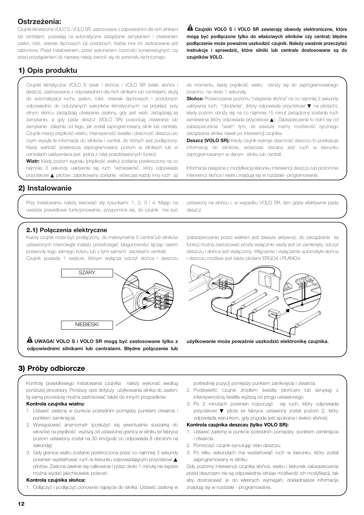# **Ostrzeżenia:**

Czujniki klimatyczne VOLO S i VOLO SR, zastosowane z odpowiednimi dla nich silnikami lub centralami, pozwalają na automatyczne zarządzanie zamykaniem i otwieraniem zasłon, rolet, okienek dachowych lub podobnych. Każde inne ich zastosowanie jest zabronione. Przed instalowaniem, przed wykonaniem czynności konserwacyjnych czy przed przystąpieniem do naprawy należy zwrócić się do personelu technicznego.

**Czujniki VOLO S i VOLO SR zawierają obwody elektroniczne, które ! mogą być podłączone tylko do właściwych silników czy central; błędne podłączenie może poważnie uszkodzić czujnik. Należy uważnie przeczytać instrukcje i sprawdzić, które silniki lub centrale dostosowane są do czujników VOLO.**

# **1) Opis produktu**

Czujniki klimatyczne VOLO S (wiatr i słońce) i VOLO SR (wiatr, słońce i deszcz), zastosowane z odpowiednimi dla nich silnikami lub centralami, służą do automatyzacji ruchu zasłon, rolet, okienek dachowych i podobnych odpowiednio do odczytanych warunków klimatycznych: na przykład, przy silnym słońcu zarządzają otwieranie zasłony, gdy jest wiatr, zarządzają jej zamykanie, a gdy pada deszcz (VOLO SR) powodują otwieranie lub zamykanie zależnie od tego, jak został zaprogramowany silnik lub centrala. Czujnik mierzy prędkość wiatru, intensywność światła i obecność deszczu po czym wysyła te informacje do silników i central, do których jest podłączony. Kiedy wartość przekracza zaprogramowany poziom w silnikach lub w centralach uaktywniana jest jedna z niżej przedstawionych funkcji:

**Wiatr:** Kiedy poziom sygnału (prędkość wiatru) zostanie przekroczony na co najmniej 3 sekundy uaktywnia się ruch "wzniesienia", który odpowiada przyciskowi ▲ pilotów; zablokowany zostanie wówczas każdy inny ruch aż

do momentu, kiedy prędkość wiatru obniży się do zaprogramowanego poziomu na około 1 sekundę.

**Słońce:** Przekroczenie poziomu "natężenie słońca" na co najmniej 2 sekundy uaktywnia ruch "obniżenia", (który odpowiada przyciskowi ▼ na pilotach); kiedy poziom obniży się na co najmniej 15 minut zarządzony zostanie ruch wzniesienia (który odpowiada przyciskowi ▲). Zabezpieczenie to różni się od zabezpieczenia "wiatr" tym, że zawsze mamy możliwość ręcznego zarządzania silnika nawet po interwencji czujnika.

**Deszcz (VOLO SR):** Kiedy czujnik wykryje obecność deszczu to przekazuje informację do silników, wówczas zlecany jest ruch w kierunku zaprogramowanym w danym silniku lub centrali.

Informacje związane z modyfikacją kierunku interwencji deszczu lub poziomów interwencji słońca i wiatru znajdują się w rozdziale- programowanie.

# **2) Instalowanie**

Przy instalowaniu należy kierować się rysunkami: 1, 2, 3 i 4. Mając na uwadze prawidłowe funkcjonowanie, przypomina się, że czujnik ma być

ustawiony na słońcu i, w wypadku VOLO SR, tam gdzie efektywnie pada deszcz.

## **2.1) Połączenia elektryczne**

Każdy czujnik może być podłączony do maksymalnie 5 central lub silników ustawionych równolegle (należy przestrzegać biegunowości łącząc razem przewody tego samego koloru lub z tymi samymi zaciskami centrali). Czujnik posiada 1 wejście, którym wyłącza odczyt słońca i deszczu



**UWAGA! VOLO S i VOLO SR mogą być zastosowane tylko z ! odpowiednimi silnikami lub centralami. Błędne połączenie lub**

(zabezpieczenie przed wiatrem jest zawsze aktywne); do zarządzania tej funkcji można zastosować prosty wyłącznik; kiedy jest on zamknięty, odczyt deszczu i słońca jest wyłączony. Włączenie i wyłączenie automatyki słońca i deszczu możliwe jest także pilotami ERGO4 i PLANO4.



**użytkowanie może poważnie uszkodzić elektronikę czujnika.** 

# **3) Próby odbiorcze**

Kontrolę prawidłowego instalowania czujnika należy wykonać według poniższej procedury. Poniższy opis dotyczy użytkowania silnika do zasłon; tą samą procedurę można zastosować także do innych przypadków.

#### **Kontrola czujnika wiatru:**

- 1. Ustawić zasłonę w punkcie pośrednim pomiędzy punktem otwarcia i punktem zamknięcia
- 2. Wyregulować anemometr (posłużyć się ewentualnie suszarką do włosów) na prędkość wyższą od ustawionej granicy w silniku (w fabryce poziom ustawiony został na 30 km/godz co odpowiada 8 obrotom na sekundę)
- 3. Gdy granica wiatru zostanie przekroczona przez co najmniej 3 sekundy powinien wystartować ruch w kierunku odpowiadającym przyciskowi ▲ pilotów. Zasłona zawinie się całkowicie i przez około 1 minutę nie będzie można wydać jakichkolwiek poleceń.

#### **Kontrola czujnika słońca:**

1. Odłączyć i podłączyć ponownie napięcie do silnika. Ustawić zasłonę w

pośredniej pozycji pomiędzy punktem zamknięcia i otwarcia.

- 2. Podświetlić czujnik źródłem światła (słońcem lub lampką) z intensywnością światła wyższą od progu ustawionego.
- 3. Po 2 minutach powinien rozpocząć się ruch, który odpowiada przyciskowi ▼ pilota (w fabryce ustawiony został poziom 2, który odpowiada warunkom, gdy pogoda jest spokojna i świeci słońce).

#### **Kontrola czujnika deszczu (tylko VOLO SR):**

- 1. Ustawić zasłonę w punkcie pośrednim pomiędzy punktem zamknięcia i otwarcia.
- 2. Pomoczyć czujnik symulując stan deszczu.
- 3. Po kilku sekundach ma wystartować ruch w kierunku, który został zaprogramowany w silniku.

Gdy poziomy interwencji czujnika słońca, wiatru i kierunek zabezpieczenia przed deszczem nie są odpowiednie istnieje możliwość ich modyfikacji, tak aby dostosować je do własnych wymagań; dokładniejsze informacje znajdują się w rozdziale - programowanie.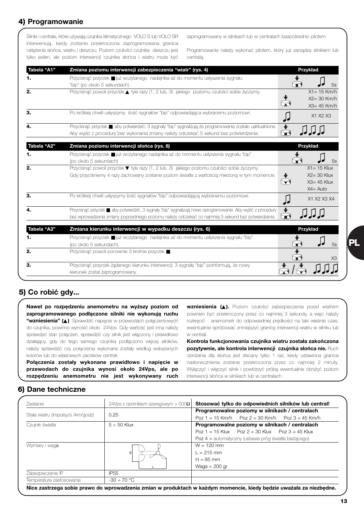# **4) Programowanie**

Silniki i centrale, które używają czujnika klimatycznego VOLO S lub VOLO SR interweniują, kiedy zostanie przekroczona zaprogramowana granica natężenia słońca, wiatru i deszczu. Poziom czułości czujnika deszczu jest tylko jeden, ale poziom interwencji czujnika słońca i wiatru może być zaprogramowany w silnikach lub w centralach bezpośrednio pilotem.

Programowanie należy wykonać pilotem, który już zarządza silnikiem lub centralą.

| Tabela "A1" | Zmiana poziomu interwencji zabezpieczenia "wiatr" (rys. 4)                                                                                                                                                             | Przykład                                                                                  |
|-------------|------------------------------------------------------------------------------------------------------------------------------------------------------------------------------------------------------------------------|-------------------------------------------------------------------------------------------|
| 1.          | Przycisnąć przycisk ■ już wczytanego nadajnika aż do momentu usłyszenia sygnału<br>"bip" (po około 5 sekundach).                                                                                                       | 5s                                                                                        |
| 2.          | Przycisnąć powoli przycisk ▲ tyle razy (1, 2 lub, 3) jakiego poziomu czułości sobie życzymy.                                                                                                                           | $X1 = 15$ Km/h<br>$X2 = 30$ Km/h<br>X3= 45 Km/h                                           |
| 3.          | Po krótkiej chwili usłyszymy ilość sygnałów "bip" odpowiadająca wybranemu poziomowi.                                                                                                                                   | X1 X2 X3                                                                                  |
| 4.          | Przycisnąć przycisk . aby potwierdzić; 3 sygnały "bip" sygnalizują że programowanie zostało uaktualnione.<br>Aby wyjść z procedury bez wykonania zmiany należy odczekać 5 sekund bez potwierdzenia.                    | $\,\,\Theta\,$                                                                            |
| Tabela "A2" | Zmiana poziomu interwencji słońca (rys. 6)                                                                                                                                                                             | Przykład                                                                                  |
| 1.          | Przycisnąć przycisk ■ już wczytanego nadajnika aż do momentu usłyszenia sygnału "bip"<br>(po około 5 sekundach)                                                                                                        | 5s                                                                                        |
| 2.          | Przycisnąć powoli przycisk ▼ tyle razy (1, 2 lub, 3) jakiego poziomu czułości sobie życzymy.<br>Gdy przyciśniemy 4 razy zachowany zostanie poziom światła z wartością mierzoną w tym momencie.                         | $X1 = 15$ Klux<br>$X2 = 30$ Klux<br>$\blacktriangledown$<br>$X3 = 45$ Klux<br>$X4 = Auto$ |
| З.          | Po krótkiej chwili usłyszymy ilość sygnałów "bip" odpowiadającą wybranemu poziomowi.                                                                                                                                   | X1 X2 X3 X4                                                                               |
| 4.          | Przycisnąć przycisk ., aby potwierdzić, 3 sygnały "bip" sygnalizują nowe oprogramowanie. Aby wyjść z procedury<br>bez wprowadzenia zmiany poprzedniego poziomu należy odczekać co najmniej 5 sekund bez potwierdzenia. |                                                                                           |
| Tabela "A3" | Zmiana kierunku interwencji w wypadku deszczu (rys. 6)                                                                                                                                                                 | Przykład                                                                                  |
| 1.          | Przycisnąć przycisk ii już wczytanego nadajnika aż do momentu usłyszenia sygnału "bip"<br>(po około 5 sekundach).                                                                                                      | 5s                                                                                        |
| 2.          | Przycisnąć powoli ponownie 3 krotnie przycisk ■.                                                                                                                                                                       | X <sub>3</sub>                                                                            |
| 3.          | Przycisnąć przycisk żądanego kierunku interwencji; 3 sygnały "bip" poinformują, że nowy<br>kierunek został zaprogramowany.                                                                                             |                                                                                           |

# **5) Co robić gdy...**

**Nawet po rozpędzeniu anemometru na wyższy poziom od zaprogramowanego podłączone silniki nie wykonują ruchu "wzniesienia" (**▲**)**. Sprawdzić napięcie w przewodach połączeniowych do czujnika, powinno wynosić około 24Vps. Gdy wartość jest inna należy sprawdzić stan połączeń, sprawdzić czy silnik jest włączony i prawidłowo działający, gdy do tego samego czujnika podłączono więcej silników, należy sprawdzić czy połączenia wykonane zostały według wskazanych kolorów lub do właściwych zacisków centrali.

**Połączenia zostały wykonane prawidłowo i napięcie w przewodach do czujnika wynosi około 24Vps, ale po rozpędzeniu anemometru nie jest wykonywany ruch**

**wzniesienia (**▲**).** Poziom czułości zabezpieczenia przed wiatrem powinien być przekroczony przez co najmniej 3 sekundy, a więc należy rozkręcić anemometr do odpowiedniej prędkości na taki właśnie czas, ewentualnie spróbować zmniejszyć granicę interwencji wiatru w silniku lub w centrali.

**Kontrola funkcjonowania czujnika wiatru została zakończona pozytywnie, ale kontrola interwencji czujnika słońca nie.** Ruch obniżania dla słońca jest zlecany tylko 1 raz, kiedy ustawiona granica nasłonecznienia zostanie przekroczona przez co najmniej 2 minuty. Wyłączyć i włączyć silnik i powtórzyć próbę ewentualnie obniżyć poziom interwencji słońca w silnikach lub w centralach.

## **6) Dane techniczne**

| <b>Zasilanie</b>                  | 24Vps z opomikiem szeregowym > 500 $\Omega$ | Stosować tylko do odpowiednich silników lub central!  |
|-----------------------------------|---------------------------------------------|-------------------------------------------------------|
|                                   |                                             | Programowalne poziomy w silnikach / centralach        |
| Stała wiatru (impulsy/s /km/godz) | 0.25                                        | $Poz 1 = 15$ Km/h $Poz 2 = 30$ Km/h $Poz 3 = 45$ Km/h |
| Czujnik światła                   | $5 \div 50$ Klux                            | Programowalne poziomy w silnikach / centralach        |
|                                   |                                             | $Poz 1 = 15$ Klux $Poz 2 = 30$ Klux $Poz 3 = 45$ Klux |
|                                   |                                             | Poz 4 = automatyczny (ustawia próg światła bieżącego) |
| Wymiary i waga                    |                                             | $W = 120$ mm                                          |
|                                   | $\leq$                                      | $L = 215$ mm                                          |
|                                   |                                             | $H = 85$ mm                                           |
|                                   |                                             | Waga = $200$ gr                                       |
| Zabezpieczenie IP                 | IP <sub>55</sub>                            |                                                       |
| Temperatura zastosowania          | $-30 \div 70$ °C                            |                                                       |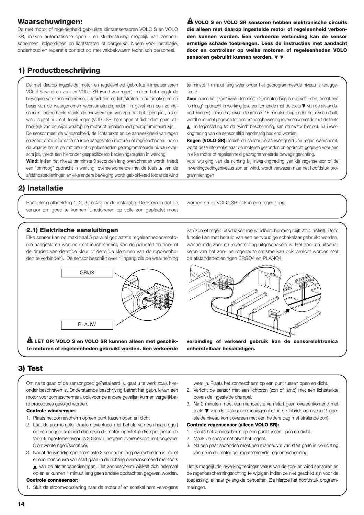## **Waarschuwingen:**

De met motor of regeleenheid gebruikte klimaatsensoren VOLO S en VOLO SR, maken automatische open - en sluitbesturing mogelijk van zonnenschermen, rolgordijnen en lichtstraten of dergelijke. Neem voor installatie, onderhoud en reparatie contact op met vakbekwaam technisch personeel.

**VOLO S en VOLO SR sensoren hebben elektronische circuits ! die alleen met daarop ingestelde motor of regeleenheid verbonden kunnen worden. Een verkeerde verbinding kan de sensor ernstige schade toebrengen. Lees de instructies met aandacht door en controleer op welke motoren of regeleenheden VOLO sensoren gebruikt kunnen worden.** ▼ ▼

# **1) Productbeschrijving**

De met daarop ingestelde motor en regeleenheid gebruikte klimaatsensoren VOLO S (wind en zon) en VOLO SR (wind zon regen), maken het moglijk de beweging van zonneschermen, rolgordijnen en lichtstraten to automatiseren op basis van de waargenomen weersomstandigheden: in geval van een zonnescherm bijvoorbeeld maakt de aanwezigheid van zon dat het opengaat, als er wind is gaat hij dicht, terwijl regen (VOLO SR) hem open of dicht doet gaan, alfhankelijk van de wijze waarop de motor of regeleenheid geprogrammeerd zijn. De sensor meet de windsnelheid, de lichtsterkte en de aanwezigheid van regen en zendt deze informatie naar de aangesloten motoren of regeleenheden. Indien de waarde het in de motoren of regeleenheden geprogrammeerde niveau overschrijdt, treedt een hieronder gespecificeerd bedieningsorgaan in werking:

**Wind:** Indien het niveau tenminste 3 seconden lang overschreden wordt, treedt een "omhoog" opdracht in werking overeenkomende met de toets ▲ van de afstandsbedieningen en elke andere beweging wordt geblokkeerd totdat de wind

tenminste 1 minuut lang weer onder het geprogrammeerde niveau is teruggekeerd.

**Zon:** Indien het "zon"niveau tenminste 2 minuten lang is overschreden, treedt een "omlaag" opdracht in werking (overeenkomende met de toets ▼ van de afstandsbedieningen); indien het niveau tenminste 15 minuten lang onder het niveau daalt, wordt opdracht gegeven tot een omhoogbeweging (overeenkomende met de toets ▲). In tegenstelling tot de "wind" bescherming, kan de motor hier ook na inwerkingtreding van de sensor altijd handmatig bediend worden.

**Regen (VOLO SR):** Indien de sensor de aanwezigheid van regen waarneemt, wordt deze informatie naar de motoren gezonden en opdracht gegeven voor een in elke motor of regeleenheid geprogrammeerde bewegingsrichting.

Voor wijziging van de richting bij inwerkingtreding van de regensensor of de inwerkingtredingsniveaus zon en wind, wordt verwezen naar het hoofdstuk programmeringen

## **2) Installatie**

Raadpleeg afbeelding 1, 2, 3 en 4 voor de installatie. Denk eraan dat de sensor om goed te kunnen functioneren op volle zon geplaatst moet

worden en bij VOLO SR ook in een regenzone.

## **2.1) Elektrische aansluitingen**

Elke sensor kan op maximaal 5 parallel geplaatste regeleenheden/motoren aangesloten worden (met inachtneming van de polariteit en door of de draden van dezelfde kleur of dezelfde klemmen van de regeleenheden te verbinden). De sensor beschikt over 1 ingang die de waarneming



**LET OP: VOLO S en VOLO SR kunnen alleen met geschik-! te motoren of regeleenheden gebruikt worden. Een verkeerde** van zon of regen uitschakelt (de windbescherming blijft altijd actief). Deze functie kan met behulp van een eenvoudige schakelaar gebruikt worden, wanneer de zon- en regenmeting uitgeschakeld is. Het aan- en uitschakelen van het zon- en regenautomatisme kan ook verricht worden met de afstandsbedieningen ERGO4 en PLANO4.



**verbinding of verkeerd gebruik kan de sensorelektronica onherstelbaar beschadigen.**

## **3) Test**

Om na te gaan of de sensor goed geïnstalleerd is, gaat u te werk zoals hieronder beschreven is. Onderstaande beschrijving betreft het gebruik van een motor voor zonneschermen, ook voor de andere gevallen kunnen vergelijkbare procedures gevolgd worden.

#### **Controle windsensor:**

- 1. Plaats het zonnescherm op een punt tussen open en dicht
- 2. Laat de anemometer draaien (eventueel met behulp van een haardroger) op een hogere snelheid dan de in de motor ingestelde drempel (het in de fabriek ingestelde niveau is 30 Km/h, hetgeen overeenkomt met ongeveer 8 omwentelingen/seconde).
- 3. Nadat de winddrempel tenminste 3 seconden lang overschreden is, moet er een manoeuvre van start gaan in de richting overeenkomend met toets
	- ▲ van de afstandsbedieningen. Het zonnescherm wikkelt zich helemaal
- op en er kunnen 1 minuut lang geen andere opdrachten gegeven worden. **Controle zonnesensor:**
- 1. Sluit de stroomvoorziening naar de motor af en schakel hem vervolgens

weer in. Plaats het zonnescherm op een punt tussen open en dicht.

- 2. Verlicht de sensor met een lichtbron (zon of lamp) met een lichtsterkte boven de ingestelde drempel.
- 3. Na 2 minuten moet een manoeuvre van start gaan overeenkomend met toets ▼ van de afstandsbedieningen (het in de fabriek op niveau 2 ingestelde niveau komt overeen met een heldere dag met stralende zon).

#### **Controle regensensor (alleen VOLO SR):**

- 1. Plaats het zonnescherm op een punt tussen open en dicht.
- 2. Maak de sensor nat alsof het regent.
- 3. Na een paar seconden moet een manoeuvre van start gaan in de richting van de in de motor geprogrammeerde regenbescherming

Het is mogelijk de inwerkingtredingsniveaus van de zon- en wind sensoren en de regenbeschermingsrichting te wijzigen indien ze niet geschikt zijn voor de toepassing, al naar gelang de behoeften. Zie hiertoe het hoofdstuk programmeringen.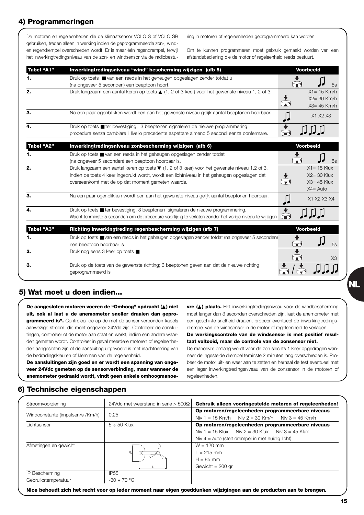# **4) Programmeringen**

De motoren en regeleenheden die de klimaatsensor VOLO S of VOLO SR gebruiken, treden alleen in werking indien de geprogrammeerde zon-, winden regendrempel overschreden wordt. Er is maar één regendrempel, terwijl het inwerkingtredingsniveau van de zon- en windsensor via de radiobesturing in motoren of regeleenheden geprogrammeerd kan worden.

Om te kunnen programmeren moet gebruik gemaakt worden van een afstandsbediening die de motor of regeleenheid reeds bestuurt.

| <b>Tabel "A1"</b> | Inwerkingtredingsniveau "wind" bescherming wijzigen (afb 5)                                                  | <b>Voorbeeld</b> |                |
|-------------------|--------------------------------------------------------------------------------------------------------------|------------------|----------------|
|                   | Druk op toets ■ van een reeds in het geheugen opgeslagen zender totdat u                                     |                  |                |
|                   | (na ongeveer 5 seconden) een beeptoon hoort.                                                                 |                  | 5s             |
| 2.                | Druk langzaam een aantal keren op toets ▲ (1, 2 of 3 keer) voor het gewenste niveau 1, 2 of 3.               | $X1 = 15$ Km/h   |                |
|                   |                                                                                                              | $X2 = 30$ Km/h   |                |
|                   |                                                                                                              | $X3 = 45$ Km/h   |                |
| З.                | Na een paar ogenblikken wordt een aan het gewenste niveau gelijk aantal beeptonen hoorbaar.                  | X1 X2 X3         |                |
|                   | Druk op toets ■ ter bevestiging, 3 beeptonen signaleren de nieuwe programmering                              |                  |                |
|                   | procedura senza cambiare il livello precedente aspettare almeno 5 secondi senza confermare.                  |                  |                |
|                   |                                                                                                              |                  |                |
| <b>Tabel "A2"</b> | Inwerkingtredingsniveau zonbescherming wijzigen (afb 6)                                                      | <b>Voorbeeld</b> |                |
|                   | Druk op toets ■ van een reeds in het geheugen opgeslagen zender totdat                                       |                  |                |
|                   | (na ongeveer 5 seconden) een beeptoon hoorbaar is.                                                           |                  | 5s             |
| 2.                | Druk langzaam een aantal keren op toets ▼ (1, 2 of 3 keer) voor het gewenste niveau 1,2 of 3.                | $X1 = 15$ Klux   |                |
|                   | Indien de toets 4 keer ingedrukt wordt, wordt een lichtniveau in het geheugen opgeslagen dat                 | $X2 = 30$ Klux   |                |
|                   | overeeenkomt met de op dat moment gemeten waarde.                                                            | $X3 = 45$ Klux   |                |
|                   |                                                                                                              | $X4 = Auto$      |                |
| З.                | Na een paar ogenblikken wordt een aan het gewenste niveau gelijk aantal beeptonen hoorbaar.                  | X1 X2 X3 X4      |                |
|                   | Druk op toets ■ ter bevestiging, 3 beeptonen signaleren de nieuwe programmering.                             |                  |                |
|                   | Wacht tenminste 5 seconden om de procedure voortijdig te verlaten zonder het vorige niveau te wijzigen       |                  |                |
| <b>Tabel "A3"</b> | Richting inwerkingtreding regenbescherming wijzigen (afb 7)                                                  | <b>Voorbeeld</b> |                |
|                   | Druk op toets ■ van een reeds in het geheugen opgeslagen zender totdat (na ongeveer 5 seconden)              |                  |                |
|                   | een beeptoon hoorbaar is                                                                                     |                  | 5s             |
| 2.                | Druk nog eens 3 keer op toets ■                                                                              |                  |                |
|                   |                                                                                                              |                  | X <sub>3</sub> |
| 3.                | Druk op de toets van de gewenste richting; 3 beeptonen geven aan dat de nieuwe richting<br>geprogrammeerd is |                  |                |
|                   |                                                                                                              |                  |                |

## **5) Wat moet u doen indien...**

**De aangesloten motoren voeren de "Omhoog" opdracht (**▲**) niet uit, ook al laat u de anemometer sneller draaien dan geprogrammeerd is".** Controleer de op de met de sensor verbonden kabels aanwezige stroom, die moet ongeveer 24Vdc zijn. Controleer de aansluitingen, controleer of de motor aan staat en werkt, indien een andere waarden gemeten wordt. Controleer in geval meerdere motoren of regeleenheden aangesloten zijn of de aansluiting uitgevoerd is met inachtneming van de bedradingskleuren of klemmen van de regeleenheid.

**De aansluitingen zijn goed en er wordt een spanning van ongeveer 24Vdc gemeten op de sensorverbinding, maar wanneer de anemometer gedraaid wordt, vindt geen enkele omhoogmanoe-**

**vre (**▲**) plaats.** Het inwerkiingtredingsniveau voor de windbescherming moet langer dan 3 seconden overschreden zijn, laat de anemometer met een geschikte snelheid draaien, probeer eventueel de inwerkingtredingsdrempel van de windsensor in de motor of regeleenheid te verlagen.

**De werkingscontrole van de windsensor is met positief resultaat voltooid, maar de controle van de zonsensor niet.**

De manoevre omlaag wordt voor de zon slechts 1 keer opgedragen wanneer de ingestelde drempel teminste 2 minuten lang overschreden is. Probeer de motor uit- en weer aan te zetten en herhaal de test eventueel met een lager inwerkingtredingsniveau van de zonsensor in de motoren of regeleenheden.

## **6) Technische eigenschappen**

| Stroomvoorziening                | 24Vdc met weerstand in serie > 500 $\Omega$ | Gebruik alleen vooringestelde motoren of regeleenheden!                                             |
|----------------------------------|---------------------------------------------|-----------------------------------------------------------------------------------------------------|
| Windconstante (impulsen/s /Km/h) | 0.25                                        | Op motoren/regeleenheden programmeerbare niveaus<br>Niv 1 = 15 Km/h Niv 2 = 30 Km/h Niv 3 = 45 Km/h |
| Lichtsensor                      | $5 \div 50$ Klux                            | Op motoren/regeleenheden programmeerbare niveaus                                                    |
|                                  |                                             | Niv 1 = 15 Klux Niv 2 = 30 Klux Niv 3 = 45 Klux                                                     |
|                                  |                                             | Niv $4 =$ auto (stelt drempel in met huidig licht)                                                  |
| Afmetingen en gewicht            | ≷                                           | $W = 120$ mm<br>$1 = 215$ mm<br>$H = 85$ mm<br>Gewicht = $200$ gr                                   |
| IP Bescherming                   | IP <sub>55</sub>                            |                                                                                                     |
| Gebruikstemperatuur              | $-30 \div 70$ °C                            |                                                                                                     |

**Nice behoudt zich het recht voor op ieder moment naar eigen goeddunken wijzigingen aan de producten aan te brengen.**